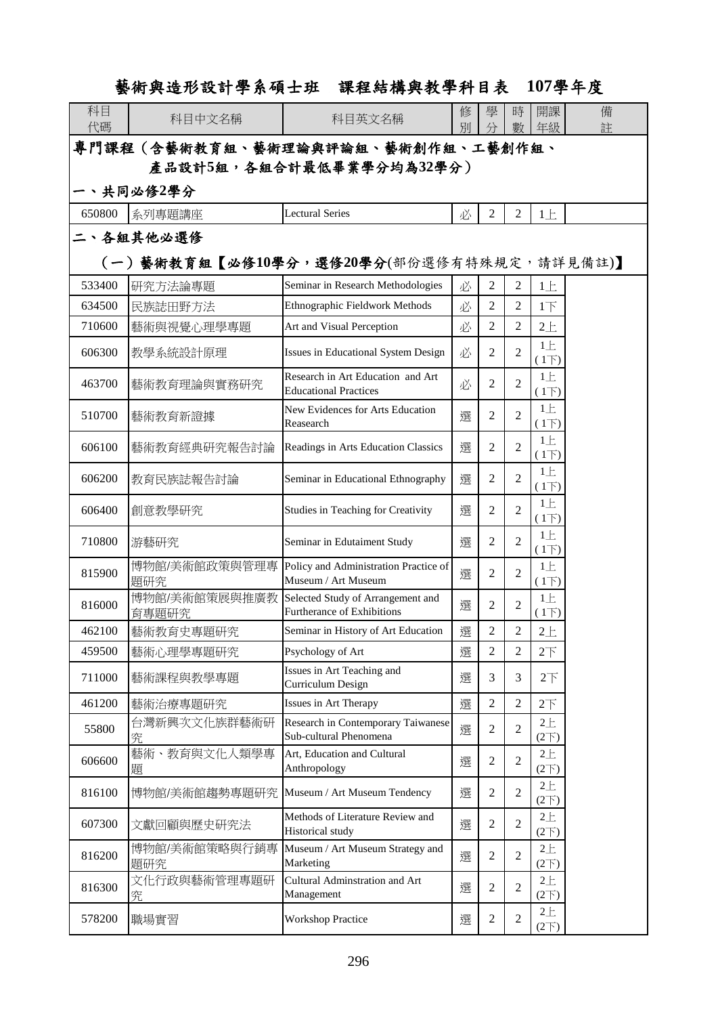| 科目<br>代碼                                 | 科目中文名稱                 | 科目英文名稱                                                            | 修<br>別 | 學<br>分         | 時<br>數         | 開課<br>年級                    | 備<br>註 |  |  |
|------------------------------------------|------------------------|-------------------------------------------------------------------|--------|----------------|----------------|-----------------------------|--------|--|--|
| 專門課程(含藝術教育組、藝術理論與評論組、藝術創作組、工藝創作組、        |                        |                                                                   |        |                |                |                             |        |  |  |
| 產品設計5組,各組合計最低畢業學分均為32學分)                 |                        |                                                                   |        |                |                |                             |        |  |  |
| 一丶共同必修2學分                                |                        |                                                                   |        |                |                |                             |        |  |  |
| 650800                                   | 系列專題講座                 | <b>Lectural Series</b>                                            | 必      | 2              | 2              | 1E                          |        |  |  |
| 二、各組其他必選修                                |                        |                                                                   |        |                |                |                             |        |  |  |
| (一)藝術教育組【必修10學分,選修20學分(部份選修有特殊規定,請詳見備註)】 |                        |                                                                   |        |                |                |                             |        |  |  |
| 533400                                   | 研究方法論專題                | Seminar in Research Methodologies                                 | 必      | 2              | $\overline{2}$ | 1E                          |        |  |  |
| 634500                                   | 民族誌田野方法                | Ethnographic Fieldwork Methods                                    | 必      | 2              | 2              | 1 <sub>l</sub>              |        |  |  |
| 710600                                   | 藝術與視覺心理學專題             | Art and Visual Perception                                         | 必      | $\overline{2}$ | 2              | $2+$                        |        |  |  |
| 606300                                   | 教學系統設計原理               | Issues in Educational System Design                               | 必      | 2              | $\overline{2}$ | 1E<br>$(1\overline{)}$      |        |  |  |
| 463700                                   | 藝術教育理論與實務研究            | Research in Art Education and Art<br><b>Educational Practices</b> | 必      | 2              | $\overline{2}$ | 1E<br>$(1\overline{)}$      |        |  |  |
| 510700                                   | 藝術教育新證據                | New Evidences for Arts Education<br>Reasearch                     | 選      | 2              | $\overline{c}$ | 1E<br>$(1\overline{)}$      |        |  |  |
| 606100                                   | 藝術教育經典研究報告討論           | Readings in Arts Education Classics                               | 選      | 2              | $\overline{2}$ | 1E<br>(1)                   |        |  |  |
| 606200                                   | 教育民族誌報告討論              | Seminar in Educational Ethnography                                | 選      | 2              | $\overline{2}$ | $1 \pm$<br>$(1\overline{)}$ |        |  |  |
| 606400                                   | 創意教學研究                 | Studies in Teaching for Creativity                                | 選      | 2              | $\overline{c}$ | 1E<br>$(1\overline{)}$      |        |  |  |
| 710800                                   | 游藝研究                   | Seminar in Edutaiment Study                                       | 選      | $\overline{c}$ | $\mathfrak{D}$ | 1E<br>$(1\overline{)}$      |        |  |  |
| 815900                                   | 博物館/美術館政策與管理專<br>題研究   | Policy and Administration Practice of<br>Museum / Art Museum      | 選      | 2              | $\overline{2}$ | 1E<br>$(1\overline{)}$      |        |  |  |
| 816000                                   | 博物館/美術館策展與推廣教<br>育專題研究 | Selected Study of Arrangement and<br>Furtherance of Exhibitions   | 選      | 2              | $\overline{c}$ | $1 \pm$<br>(1)              |        |  |  |
| 462100                                   | 藝術教育史專題研究              | Seminar in History of Art Education                               | 選      | 2              | $\overline{2}$ | $2+$                        |        |  |  |
| 459500                                   | 藝術心理學專題研究              | Psychology of Art                                                 | 選      | $\overline{2}$ | $\overline{2}$ | 2 <sup>T</sup>              |        |  |  |
| 711000                                   | 藝術課程與教學專題              | Issues in Art Teaching and<br>Curriculum Design                   | 選      | 3              | 3              | 2 <sup>T</sup>              |        |  |  |
| 461200                                   | 藝術治療專題研究               | Issues in Art Therapy                                             | 選      | 2              | $\overline{2}$ | 2 <sup>7</sup>              |        |  |  |
| 55800                                    | 台灣新興次文化族群藝術研<br>究      | Research in Contemporary Taiwanese<br>Sub-cultural Phenomena      | 選      | 2              | $\overline{2}$ | 2E<br>$(2\nabla)$           |        |  |  |
| 606600                                   | 藝術、教育與文化人類學專<br>題      | Art, Education and Cultural<br>Anthropology                       | 選      | 2              | $\overline{2}$ | 2E<br>(2 <sup>2</sup> )     |        |  |  |
| 816100                                   | 博物館/美術館趨勢專題研究          | Museum / Art Museum Tendency                                      | 選      | 2              | 2              | 2E<br>(2 <sup>2</sup> )     |        |  |  |
| 607300                                   | 文獻回顧與歷史研究法             | Methods of Literature Review and<br>Historical study              | 選      | $\overline{2}$ | $\overline{2}$ | 2E<br>$(2\nabla)$           |        |  |  |
| 816200                                   | 博物館/美術館策略與行銷專<br>題研究   | Museum / Art Museum Strategy and<br>Marketing                     | 選      | 2              | $\overline{2}$ | 2E<br>(2 <sup>2</sup> )     |        |  |  |
| 816300                                   | 文化行政與藝術管理專題研<br>究      | Cultural Adminstration and Art<br>Management                      | 選      | 2              | 2              | 2E<br>$(2\nabla)$           |        |  |  |
| 578200                                   | 職場實習                   | <b>Workshop Practice</b>                                          | 選      | $\overline{2}$ | $\mathfrak{2}$ | 2E<br>(2 <sup>2</sup> )     |        |  |  |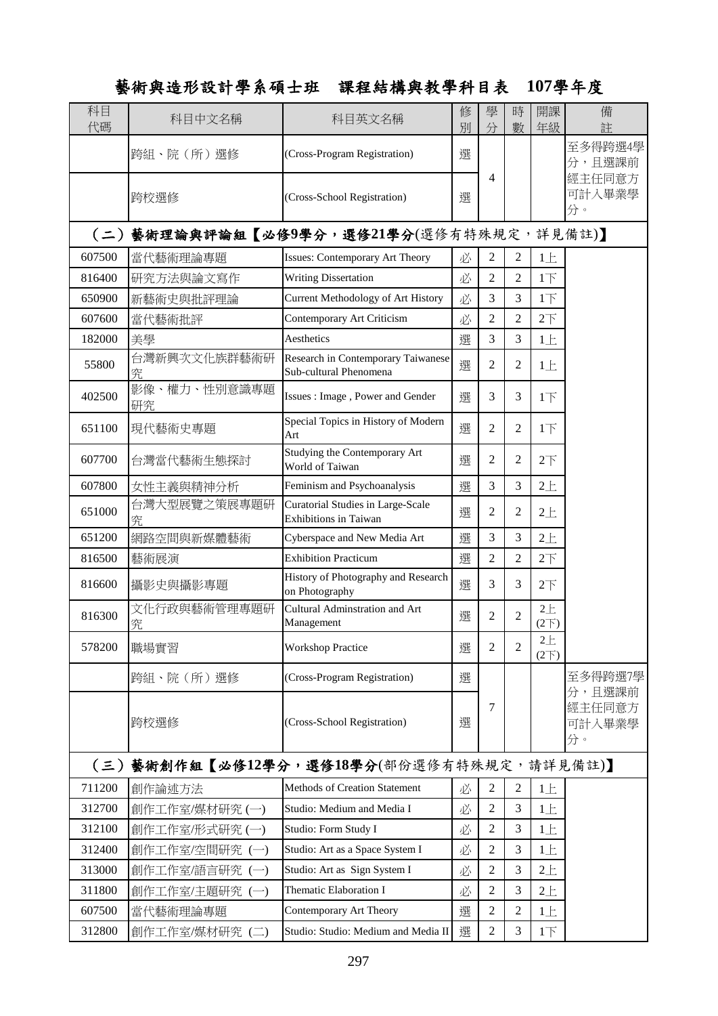| 科目<br>代碼                                 | 科目中文名稱             | 科目英文名稱                                                            | 修<br>別 | 學<br>分         | 時<br>數         | 開課<br>年級                | 備<br>註                           |  |
|------------------------------------------|--------------------|-------------------------------------------------------------------|--------|----------------|----------------|-------------------------|----------------------------------|--|
|                                          | 跨組、院(所)選修          | (Cross-Program Registration)                                      | 選      |                |                |                         | 至多得跨選4學<br>分,且選課前                |  |
|                                          | 跨校選修               | (Cross-School Registration)                                       | 選      | 4              |                |                         | 經主任同意方<br>可計入畢業學<br>分。           |  |
|                                          |                    | (二)藝術理論與評論組【必修9學分,選修21學分(選修有特殊規定,詳見備註)】                           |        |                |                |                         |                                  |  |
| 607500                                   | 當代藝術理論專題           | <b>Issues: Contemporary Art Theory</b>                            | 必      | 2              | $\mathbf{2}$   | 1E                      |                                  |  |
| 816400                                   | 研究方法與論文寫作          | <b>Writing Dissertation</b>                                       | 必      | $\overline{2}$ | $\overline{2}$ | $1+$                    |                                  |  |
| 650900                                   | 新藝術史與批評理論          | Current Methodology of Art History                                | 必      | 3              | 3              | 1 <sub>l</sub>          |                                  |  |
| 607600                                   | 當代藝術批評             | Contemporary Art Criticism                                        | 必      | 2              | 2              | $2+$                    |                                  |  |
| 182000                                   | 美學                 | Aesthetics                                                        | 選      | 3              | 3              | 1E                      |                                  |  |
| 55800                                    | 台灣新興次文化族群藝術研<br>究  | Research in Contemporary Taiwanese<br>Sub-cultural Phenomena      | 選      | $\overline{2}$ | $\overline{2}$ | 1E                      |                                  |  |
| 402500                                   | 影像、權力、性別意識專題<br>研究 | Issues: Image, Power and Gender                                   | 選      | 3              | 3              | $1\overline{1}$         |                                  |  |
| 651100                                   | 現代藝術史專題            | Special Topics in History of Modern<br>Art                        | 選      | $\overline{2}$ | $\overline{2}$ | 1 <sub>l</sub>          |                                  |  |
| 607700                                   | 台灣當代藝術生態探討         | Studying the Contemporary Art<br>World of Taiwan                  | 選      | $\overline{2}$ | $\overline{2}$ | 2 <sup>7</sup>          |                                  |  |
| 607800                                   | 女性主義與精神分析          | Feminism and Psychoanalysis                                       | 選      | 3              | 3              | $2+$                    |                                  |  |
| 651000                                   | 台灣大型展覽之策展專題研<br>究  | Curatorial Studies in Large-Scale<br><b>Exhibitions in Taiwan</b> | 選      | 2              | $\overline{c}$ | $2+$                    |                                  |  |
| 651200                                   | 網路空間與新媒體藝術         | Cyberspace and New Media Art                                      | 選      | 3              | 3              | $2+$                    |                                  |  |
| 816500                                   | 藝術展演               | <b>Exhibition Practicum</b>                                       | 選      | 2              | $\overline{2}$ | 2 <sup>7</sup>          |                                  |  |
| 816600                                   | 攝影史與攝影專題           | History of Photography and Research<br>on Photography             | 選      | 3              | 3              | 2 <sup>T</sup>          |                                  |  |
| 816300                                   | 文化行政與藝術管理專題研<br>究  | Cultural Adminstration and Art<br>Management                      | 選      | $\overline{2}$ | 2              | 2E<br>$(2\nabla)$       |                                  |  |
| 578200                                   | 職場實習               | <b>Workshop Practice</b>                                          | 選      | 2              | $\overline{2}$ | 2E<br>(2 <sup>2</sup> ) |                                  |  |
|                                          | 跨組、院 (所) 選修        | (Cross-Program Registration)                                      | 選      |                |                |                         | 至多得跨選7學                          |  |
|                                          | 跨校選修               | (Cross-School Registration)                                       | 選      | $\overline{7}$ |                |                         | 分,且選課前<br>經主任同意方<br>可計入畢業學<br>分。 |  |
| (三)藝術創作組【必修12學分,選修18學分(部份選修有特殊規定,請詳見備註)】 |                    |                                                                   |        |                |                |                         |                                  |  |
| 711200                                   | 創作論述方法             | Methods of Creation Statement                                     | 必      | $\mathfrak{2}$ | $\mathbf{2}$   | 1E                      |                                  |  |
| 312700                                   | 創作工作室/媒材研究(一)      | Studio: Medium and Media I                                        | 必      | $\mathfrak{2}$ | 3              | 1E                      |                                  |  |
| 312100                                   | 創作工作室/形式研究(一)      | Studio: Form Study I                                              | 必      | $\overline{2}$ | 3              | 1E                      |                                  |  |
| 312400                                   | 創作工作室/空間研究(一)      | Studio: Art as a Space System I                                   | 必      | $\overline{2}$ | 3              | 1E                      |                                  |  |
| 313000                                   | 創作工作室/語言研究(一)      | Studio: Art as Sign System I                                      | 必      | $\mathfrak{2}$ | 3              | $2+$                    |                                  |  |
| 311800                                   | 創作工作室/主題研究(一)      | Thematic Elaboration I                                            | 必      | $\overline{2}$ | 3              | $2+$                    |                                  |  |
| 607500                                   | 當代藝術理論專題           | Contemporary Art Theory                                           | 選      | $\overline{2}$ | $\overline{2}$ | 1E                      |                                  |  |
| 312800                                   | 創作工作室/媒材研究 (二)     | Studio: Studio: Medium and Media II                               | 選      | $\overline{2}$ | 3              | 1 <sub>l</sub>          |                                  |  |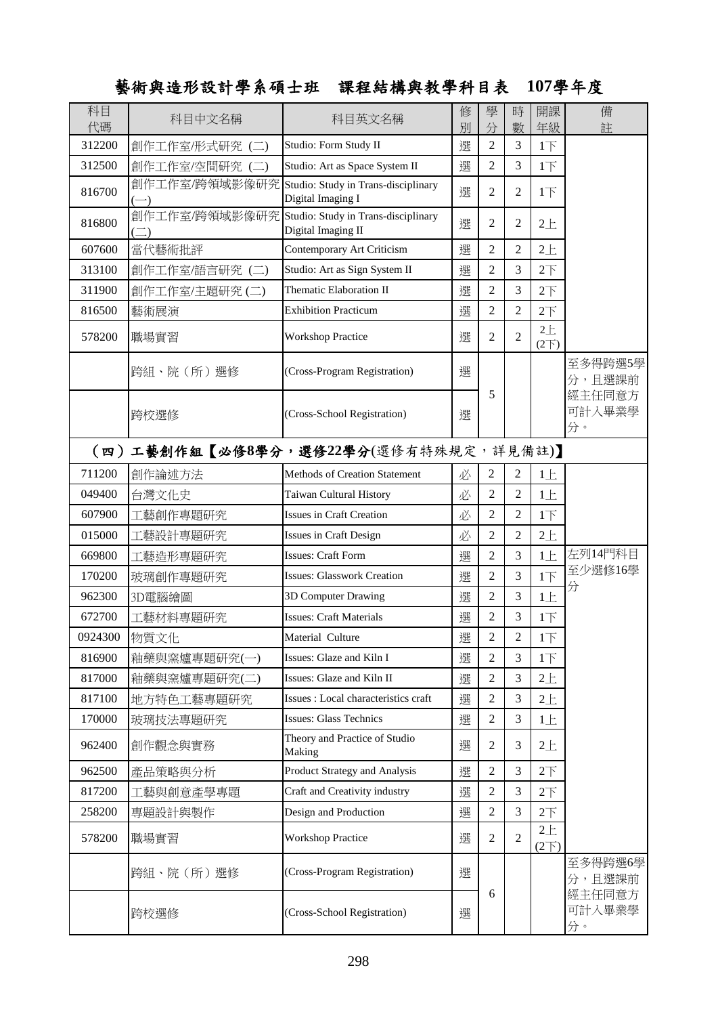| 科目<br>代碼                             | 科目中文名稱                 | 科目英文名稱                                                    | 修<br>別 | 學<br>分         | 時<br>數         | 開課<br>年級                  | 備<br>註                 |  |
|--------------------------------------|------------------------|-----------------------------------------------------------|--------|----------------|----------------|---------------------------|------------------------|--|
| 312200                               | 創作工作室/形式研究(二)          | Studio: Form Study II                                     | 選      | 2              | 3              | 1 <sub>l</sub>            |                        |  |
| 312500                               | 創作工作室/空間研究(二)          | Studio: Art as Space System II                            | 選      | $\overline{2}$ | 3              | $1\overline{F}$           |                        |  |
| 816700                               | 創作工作室/跨領域影像研究          | Studio: Study in Trans-disciplinary<br>Digital Imaging I  | 選      | $\overline{2}$ | $\overline{2}$ | 1 <sub>l</sub>            |                        |  |
| 816800                               | 創作工作室/跨領域影像研究<br>$(\_$ | Studio: Study in Trans-disciplinary<br>Digital Imaging II | 選      | $\overline{2}$ | $\overline{2}$ | $2 +$                     |                        |  |
| 607600                               | 當代藝術批評                 | Contemporary Art Criticism                                | 選      | $\overline{2}$ | $\overline{2}$ | $2+$                      |                        |  |
| 313100                               | 創作工作室/語言研究 (二)         | Studio: Art as Sign System II                             | 選      | 2              | 3              | 2 <sup>T</sup>            |                        |  |
| 311900                               | 創作工作室/主題研究(二)          | Thematic Elaboration II                                   | 選      | 2              | 3              | 2 <sup>T</sup>            |                        |  |
| 816500                               | 藝術展演                   | <b>Exhibition Practicum</b>                               | 選      | $\overline{2}$ | $\overline{2}$ | 2 <sup>T</sup>            |                        |  |
| 578200                               | 職場實習                   | <b>Workshop Practice</b>                                  | 選      | $\overline{2}$ | $\overline{2}$ | $2+$<br>(2 <sup>2</sup> ) |                        |  |
|                                      | 跨組、院(所)選修              | (Cross-Program Registration)                              | 選      |                |                |                           | 至多得跨選5學<br>分,且選課前      |  |
|                                      | 跨校選修                   | (Cross-School Registration)                               | 選      | 5              |                |                           | 經主任同意方<br>可計入畢業學<br>分。 |  |
| (四)工藝創作組【必修8學分,選修22學分(選修有特殊規定,詳見備註)】 |                        |                                                           |        |                |                |                           |                        |  |
| 711200                               | 創作論述方法                 | Methods of Creation Statement                             | 必      | $\overline{2}$ | $\overline{c}$ | 1E                        |                        |  |
| 049400                               | 台灣文化史                  | Taiwan Cultural History                                   | 必      | 2              | $\overline{2}$ | $1 \pm$                   |                        |  |
| 607900                               | 工藝創作專題研究               | <b>Issues in Craft Creation</b>                           | 必      | $\overline{2}$ | $\overline{2}$ | $1+$                      |                        |  |
| 015000                               | 工藝設計專題研究               | <b>Issues in Craft Design</b>                             | 必      | $\overline{2}$ | $\overline{2}$ | $2+$                      |                        |  |
| 669800                               | 工藝造形專題研究               | <b>Issues: Craft Form</b>                                 | 選      | $\overline{2}$ | 3              | 1E                        | 左列14門科目                |  |
| 170200                               | 玻璃創作專題研究               | <b>Issues: Glasswork Creation</b>                         | 選      | 2              | $\overline{3}$ | $1\overline{F}$           | 至少選修16學                |  |
| 962300                               | 3D電腦繪圖                 | 3D Computer Drawing                                       | 選      | $\overline{2}$ | 3              | 1E                        | 分                      |  |
| 672700                               | 工藝材料專題研究               | <b>Issues: Craft Materials</b>                            | 選      | 2              | 3              | 1 <sub>T</sub>            |                        |  |
| 0924300                              | 物質文化                   | Material Culture                                          | 撰      | $\mathfrak{2}$ | $\overline{2}$ | $1\overline{F}$           |                        |  |
| 816900                               | 釉藥與窯爐專題研究(一)           | Issues: Glaze and Kiln I                                  | 選      | 2              | 3              | 1 <sub>l</sub>            |                        |  |
| 817000                               | 釉藥與窯爐專題研究(二)           | Issues: Glaze and Kiln II                                 | 選      | $\overline{2}$ | 3              | $2+$                      |                        |  |
| 817100                               | 地方特色工藝專題研究             | Issues : Local characteristics craft                      | 選      | $\overline{2}$ | 3              | 2E                        |                        |  |
| 170000                               | 玻璃技法專題研究               | <b>Issues: Glass Technics</b>                             | 選      | 2              | 3              | 1E                        |                        |  |
| 962400                               | 創作觀念與實務                | Theory and Practice of Studio<br>Making                   | 選      | 2              | 3              | $2 +$                     |                        |  |
| 962500                               | 產品策略與分析                | Product Strategy and Analysis                             | 選      | $\overline{2}$ | 3              | 2 <sup>7</sup>            |                        |  |
| 817200                               | 工藝與創意產學專題              | Craft and Creativity industry                             | 選      | $\overline{2}$ | 3              | 2 <sup>T</sup>            |                        |  |
| 258200                               | 專題設計與製作                | Design and Production                                     | 選      | 2              | 3              | 2 <sup>T</sup>            |                        |  |
| 578200                               | 職場實習                   | <b>Workshop Practice</b>                                  | 選      | 2              | $\overline{2}$ | 2E<br>(2 <sup>2</sup> )   |                        |  |
|                                      | 跨組、院 (所) 選修            | (Cross-Program Registration)                              | 選      |                |                |                           | 至多得跨選6學<br>分,且選課前      |  |
|                                      | 跨校選修                   | (Cross-School Registration)                               | 選      | 6              |                |                           | 經主任同意方<br>可計入畢業學<br>分。 |  |